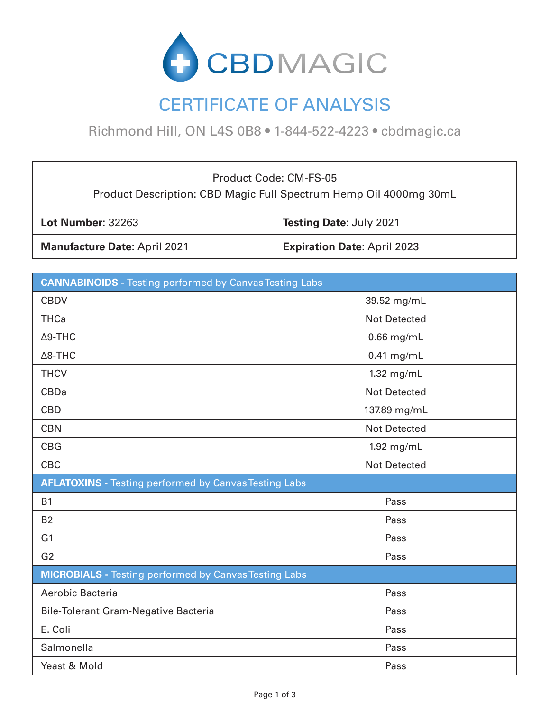

# CERTIFICATE OF ANALYSIS

Richmond Hill, ON L4S 0B8 • 1-844-522-4223 • cbdmagic.ca

Product Code: CM-FS-05 Product Description: CBD Magic Full Spectrum Hemp Oil 4000mg 30mL

| <b>Lot Number: 32263</b>            | <b>Testing Date: July 2021</b>     |
|-------------------------------------|------------------------------------|
| <b>Manufacture Date: April 2021</b> | <b>Expiration Date: April 2023</b> |

| <b>CANNABINOIDS</b> - Testing performed by Canvas Testing Labs |                     |  |
|----------------------------------------------------------------|---------------------|--|
| <b>CBDV</b>                                                    | 39.52 mg/mL         |  |
| <b>THCa</b>                                                    | <b>Not Detected</b> |  |
| $\Delta$ 9-THC                                                 | $0.66$ mg/mL        |  |
| $\Delta$ 8-THC                                                 | $0.41$ mg/mL        |  |
| <b>THCV</b>                                                    | 1.32 mg/mL          |  |
| <b>CBDa</b>                                                    | <b>Not Detected</b> |  |
| <b>CBD</b>                                                     | 137.89 mg/mL        |  |
| <b>CBN</b>                                                     | <b>Not Detected</b> |  |
| <b>CBG</b>                                                     | 1.92 mg/mL          |  |
| <b>CBC</b>                                                     | <b>Not Detected</b> |  |
| <b>AFLATOXINS</b> - Testing performed by Canvas Testing Labs   |                     |  |
| <b>B1</b>                                                      | Pass                |  |
| <b>B2</b>                                                      | Pass                |  |
| G <sub>1</sub>                                                 | Pass                |  |
| G <sub>2</sub>                                                 | Pass                |  |
| <b>MICROBIALS</b> - Testing performed by Canvas Testing Labs   |                     |  |
| Aerobic Bacteria                                               | Pass                |  |
| <b>Bile-Tolerant Gram-Negative Bacteria</b>                    | Pass                |  |
| E. Coli                                                        | Pass                |  |
| Salmonella                                                     | Pass                |  |
| Yeast & Mold                                                   | Pass                |  |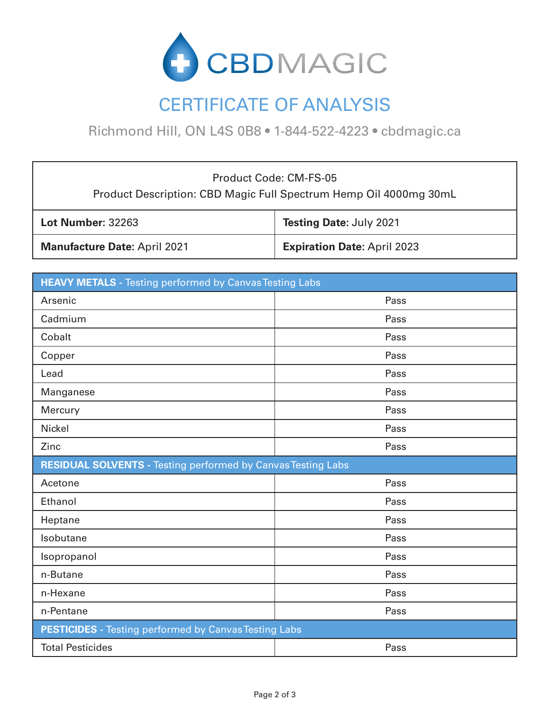

# CERTIFICATE OF ANALYSIS

Richmond Hill, ON L4S 0B8 • 1-844-522-4223 • cbdmagic.ca

#### Product Code: CM-FS-05 Product Description: CBD Magic Full Spectrum Hemp Oil 4000mg 30mL

| <b>Lot Number: 32263</b>            | <b>Testing Date: July 2021</b>     |
|-------------------------------------|------------------------------------|
| <b>Manufacture Date: April 2021</b> | <b>Expiration Date: April 2023</b> |

| <b>HEAVY METALS</b> - Testing performed by Canvas Testing Labs      |      |  |
|---------------------------------------------------------------------|------|--|
| Arsenic                                                             | Pass |  |
| Cadmium                                                             | Pass |  |
| Cobalt                                                              | Pass |  |
| Copper                                                              | Pass |  |
| Lead                                                                | Pass |  |
| Manganese                                                           | Pass |  |
| Mercury                                                             | Pass |  |
| <b>Nickel</b>                                                       | Pass |  |
| Zinc                                                                | Pass |  |
| <b>RESIDUAL SOLVENTS - Testing performed by Canvas Testing Labs</b> |      |  |
| Acetone                                                             | Pass |  |
| Ethanol                                                             | Pass |  |
| Heptane                                                             | Pass |  |
| Isobutane                                                           | Pass |  |
| Isopropanol                                                         | Pass |  |
| n-Butane                                                            | Pass |  |
| n-Hexane                                                            | Pass |  |
| n-Pentane                                                           | Pass |  |
| <b>PESTICIDES</b> - Testing performed by Canvas Testing Labs        |      |  |
| <b>Total Pesticides</b>                                             | Pass |  |